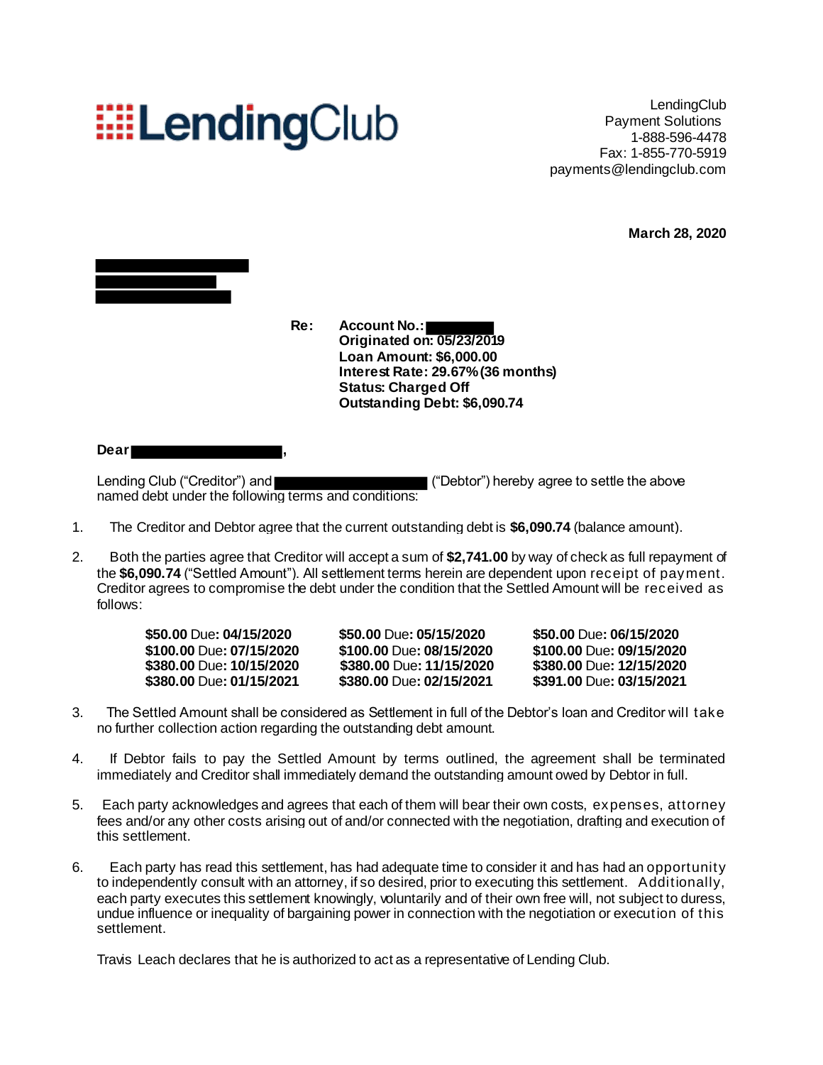# **EELendingClub**

LendingClub Payment Solutions 1-888-596-4478 Fax: 1-855-770-5919 payments@lendingclub.com

**March 28, 2020**



**Re: Account No.: Originated on: 05/23/2019 Loan Amount: \$6,000.00 Interest Rate: 29.67%(36 months) Status: Charged Off Outstanding Debt: \$6,090.74**

#### **Dear ,**

Lending Club ("Creditor") and **Exercise 2** ("Debtor") hereby agree to settle the above named debt under the following terms and conditions:

- 1. The Creditor and Debtor agree that the current outstanding debt is **\$6,090.74** (balance amount).
- 2. Both the parties agree that Creditor will accept a sum of **\$2,741.00** by way of check as full repayment of the **\$6,090.74** ("Settled Amount"). All settlement terms herein are dependent upon receipt of payment. Creditor agrees to compromise the debt under the condition that the Settled Amount will be received as follows:

| \$50,00 Due: 04/15/2020  |
|--------------------------|
| \$100.00 Due: 07/15/2020 |
| \$380.00 Due: 10/15/2020 |
| \$380.00 Due: 01/15/2021 |

**\$100.00** Due**: 07/15/2020 \$100.00** Due**: 08/15/2020 \$100.00** Due**: 09/15/2020 \$380.00** Due**: 01/15/2021 \$380.00** Due**: 02/15/2021 \$391.00** Due**: 03/15/2021**

**\$50.00** Due**: 04/15/2020 \$50.00** Due**: 05/15/2020 \$50.00** Due**: 06/15/2020 \$380.00** Due**: 10/15/2020 \$380.00** Due**: 11/15/2020 \$380.00** Due**: 12/15/2020**

- 3. The Settled Amount shall be considered as Settlement in full of the Debtor's loan and Creditor will take no further collection action regarding the outstanding debt amount.
- 4. If Debtor fails to pay the Settled Amount by terms outlined, the agreement shall be terminated immediately and Creditor shall immediately demand the outstanding amount owed by Debtor in full.
- 5. Each party acknowledges and agrees that each of them will bear their own costs, expenses, attorney fees and/or any other costs arising out of and/or connected with the negotiation, drafting and execution of this settlement.
- 6. Each party has read this settlement, has had adequate time to consider it and has had an opportunity to independently consult with an attorney, if so desired, prior to executing this settlement. Additionally, each party executes this settlement knowingly, voluntarily and of their own free will, not subject to duress, undue influence or inequality of bargaining power in connection with the negotiation or execution of this settlement.

Travis Leach declares that he is authorized to act as a representative of Lending Club.